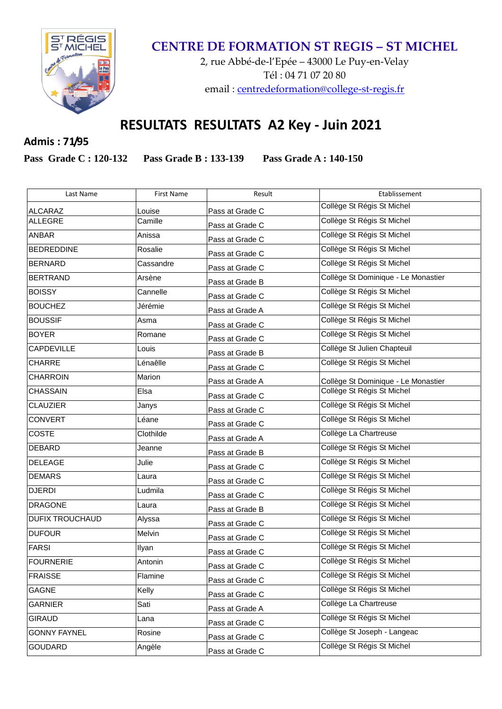

## **CENTRE DE FORMATION ST REGIS – ST MICHEL**

2, rue Abbé-de-l'Epée – 43000 Le Puy-en-Velay Tél : 04 71 07 20 80 email : [centredeformation@college-st-regis.fr](mailto:centredeformation@college-st-regis.fr)

## **RESULTATS RESULTATS A2 Key - Juin 2021**

**Admis : 71/95**

**Pass Grade C : 120-132 Pass Grade B : 133-139 Pass Grade A : 140-150**

| Last Name              | <b>First Name</b> | Result          | Etablissement                       |
|------------------------|-------------------|-----------------|-------------------------------------|
| <b>ALCARAZ</b>         | Louise            | Pass at Grade C | Collège St Régis St Michel          |
| <b>ALLEGRE</b>         | Camille           | Pass at Grade C | Collège St Régis St Michel          |
| ANBAR                  | Anissa            | Pass at Grade C | Collège St Régis St Michel          |
| <b>BEDREDDINE</b>      | Rosalie           | Pass at Grade C | Collège St Régis St Michel          |
| <b>BERNARD</b>         | Cassandre         | Pass at Grade C | Collège St Régis St Michel          |
| <b>BERTRAND</b>        | Arsène            | Pass at Grade B | Collège St Dominique - Le Monastier |
| <b>BOISSY</b>          | Cannelle          | Pass at Grade C | Collège St Régis St Michel          |
| <b>BOUCHEZ</b>         | Jérémie           | Pass at Grade A | Collège St Régis St Michel          |
| <b>BOUSSIF</b>         | Asma              | Pass at Grade C | Collège St Régis St Michel          |
| <b>BOYER</b>           | Romane            | Pass at Grade C | Collège St Règis St Michel          |
| <b>CAPDEVILLE</b>      | Louis             | Pass at Grade B | Collège St Julien Chapteuil         |
| CHARRE                 | Lénaêlle          | Pass at Grade C | Collège St Régis St Michel          |
| <b>CHARROIN</b>        | Marion            | Pass at Grade A | Collège St Dominique - Le Monastier |
| <b>CHASSAIN</b>        | Elsa              | Pass at Grade C | Collège St Régis St Michel          |
| <b>CLAUZIER</b>        | Janys             | Pass at Grade C | Collège St Régis St Michel          |
| <b>CONVERT</b>         | Léane             | Pass at Grade C | Collège St Régis St Michel          |
| <b>COSTE</b>           | Clothilde         | Pass at Grade A | Collège La Chartreuse               |
| DEBARD                 | Jeanne            | Pass at Grade B | Collège St Régis St Michel          |
| <b>DELEAGE</b>         | Julie             | Pass at Grade C | Collège St Régis St Michel          |
| <b>DEMARS</b>          | Laura             | Pass at Grade C | Collège St Régis St Michel          |
| <b>DJERDI</b>          | Ludmila           | Pass at Grade C | Collège St Régis St Michel          |
| <b>DRAGONE</b>         | Laura             | Pass at Grade B | Collège St Régis St Michel          |
| <b>DUFIX TROUCHAUD</b> | Alyssa            | Pass at Grade C | Collège St Régis St Michel          |
| <b>DUFOUR</b>          | Melvin            | Pass at Grade C | Collège St Régis St Michel          |
| <b>FARSI</b>           | Ilyan             | Pass at Grade C | Collège St Régis St Michel          |
| <b>FOURNERIE</b>       | Antonin           | Pass at Grade C | Collège St Régis St Michel          |
| <b>FRAISSE</b>         | Flamine           | Pass at Grade C | Collège St Régis St Michel          |
| <b>GAGNE</b>           | Kelly             | Pass at Grade C | Collège St Régis St Michel          |
| <b>GARNIER</b>         | Sati              | Pass at Grade A | Collège La Chartreuse               |
| <b>GIRAUD</b>          | Lana              | Pass at Grade C | Collège St Régis St Michel          |
| <b>GONNY FAYNEL</b>    | Rosine            | Pass at Grade C | Collège St Joseph - Langeac         |
| <b>GOUDARD</b>         | Angèle            | Pass at Grade C | Collège St Régis St Michel          |
|                        |                   |                 |                                     |